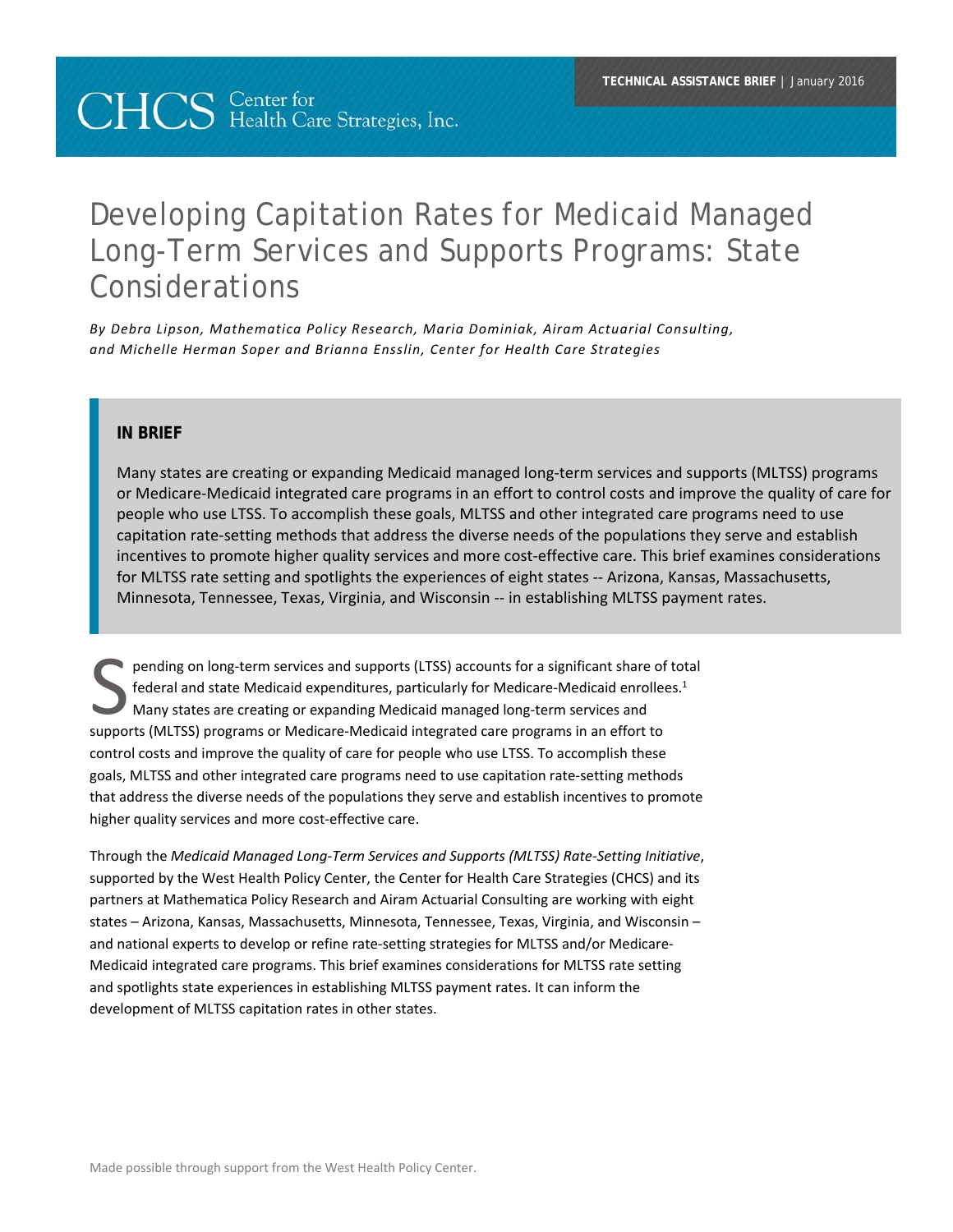# **CHCS** Center for Health Care Strategies, Inc.

## Developing Capitation Rates for Medicaid Managed Long-Term Services and Supports Programs: State Considerations

*By Debra Lipson, Mathematica Policy Research, Maria Dominiak, Airam Actuarial Consulting, and Michelle Herman Soper and Brianna Ensslin, Center for Health Care Strategies* 

#### **IN BRIEF**

Many states are creating or expanding Medicaid managed long‐term services and supports (MLTSS) programs or Medicare‐Medicaid integrated care programs in an effort to control costs and improve the quality of care for people who use LTSS. To accomplish these goals, MLTSS and other integrated care programs need to use capitation rate‐setting methods that address the diverse needs of the populations they serve and establish incentives to promote higher quality services and more cost-effective care. This brief examines considerations for MLTSS rate setting and spotlights the experiences of eight states -- Arizona, Kansas, Massachusetts, Minnesota, Tennessee, Texas, Virginia, and Wisconsin ‐‐ in establishing MLTSS payment rates.

pending on long‐term services and supports (LTSS) accounts for a significant share of total federal and state Medicaid expenditures, particularly for Medicare-Medicaid enrollees.<sup>1</sup> Many states are creating or expanding Medicaid managed long‐term services and pending on long-term services and supports (LTSS) accounts for a significant share of dederal and state Medicaid expenditures, particularly for Medicare-Medicaid enrolle<br>Many states are creating or expanding Medicaid manag control costs and improve the quality of care for people who use LTSS. To accomplish these goals, MLTSS and other integrated care programs need to use capitation rate‐setting methods that address the diverse needs of the populations they serve and establish incentives to promote higher quality services and more cost-effective care.

Through the *Medicaid Managed Long‐Term Services and Supports (MLTSS) Rate‐Setting Initiative*, supported by the West Health Policy Center, the Center for Health Care Strategies (CHCS) and its partners at Mathematica Policy Research and Airam Actuarial Consulting are working with eight states – Arizona, Kansas, Massachusetts, Minnesota, Tennessee, Texas, Virginia, and Wisconsin – and national experts to develop or refine rate-setting strategies for MLTSS and/or Medicare-Medicaid integrated care programs. This brief examines considerations for MLTSS rate setting and spotlights state experiences in establishing MLTSS payment rates. It can inform the development of MLTSS capitation rates in other states.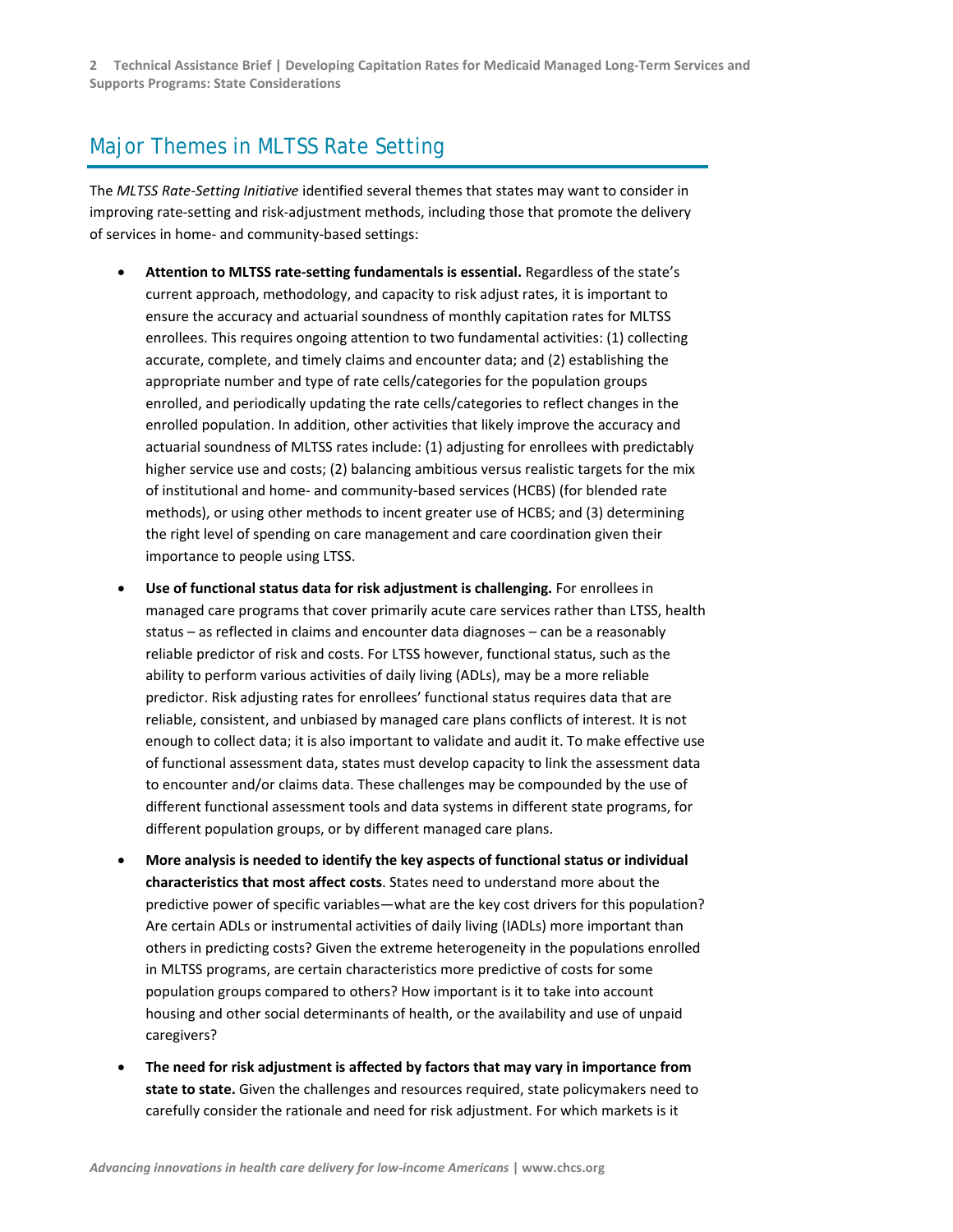## Major Themes in MLTSS Rate Setting

The *MLTSS Rate‐Setting Initiative* identified several themes that states may want to consider in improving rate-setting and risk-adjustment methods, including those that promote the delivery of services in home‐ and community‐based settings:

- **Attention to MLTSS rate‐setting fundamentals is essential.** Regardless of the state's current approach, methodology, and capacity to risk adjust rates, it is important to ensure the accuracy and actuarial soundness of monthly capitation rates for MLTSS enrollees. This requires ongoing attention to two fundamental activities: (1) collecting accurate, complete, and timely claims and encounter data; and (2) establishing the appropriate number and type of rate cells/categories for the population groups enrolled, and periodically updating the rate cells/categories to reflect changes in the enrolled population. In addition, other activities that likely improve the accuracy and actuarial soundness of MLTSS rates include: (1) adjusting for enrollees with predictably higher service use and costs; (2) balancing ambitious versus realistic targets for the mix of institutional and home‐ and community‐based services (HCBS) (for blended rate methods), or using other methods to incent greater use of HCBS; and (3) determining the right level of spending on care management and care coordination given their importance to people using LTSS.
- **Use of functional status data for risk adjustment is challenging.** For enrollees in managed care programs that cover primarily acute care services rather than LTSS, health status – as reflected in claims and encounter data diagnoses – can be a reasonably reliable predictor of risk and costs. For LTSS however, functional status, such as the ability to perform various activities of daily living (ADLs), may be a more reliable predictor. Risk adjusting rates for enrollees' functional status requires data that are reliable, consistent, and unbiased by managed care plans conflicts of interest. It is not enough to collect data; it is also important to validate and audit it. To make effective use of functional assessment data, states must develop capacity to link the assessment data to encounter and/or claims data. These challenges may be compounded by the use of different functional assessment tools and data systems in different state programs, for different population groups, or by different managed care plans.
- **More analysis is needed to identify the key aspects of functional status or individual characteristics that most affect costs**. States need to understand more about the predictive power of specific variables—what are the key cost drivers for this population? Are certain ADLs or instrumental activities of daily living (IADLs) more important than others in predicting costs? Given the extreme heterogeneity in the populations enrolled in MLTSS programs, are certain characteristics more predictive of costs for some population groups compared to others? How important is it to take into account housing and other social determinants of health, or the availability and use of unpaid caregivers?
- **The need for risk adjustment is affected by factors that may vary in importance from state to state.** Given the challenges and resources required, state policymakers need to carefully consider the rationale and need for risk adjustment. For which markets is it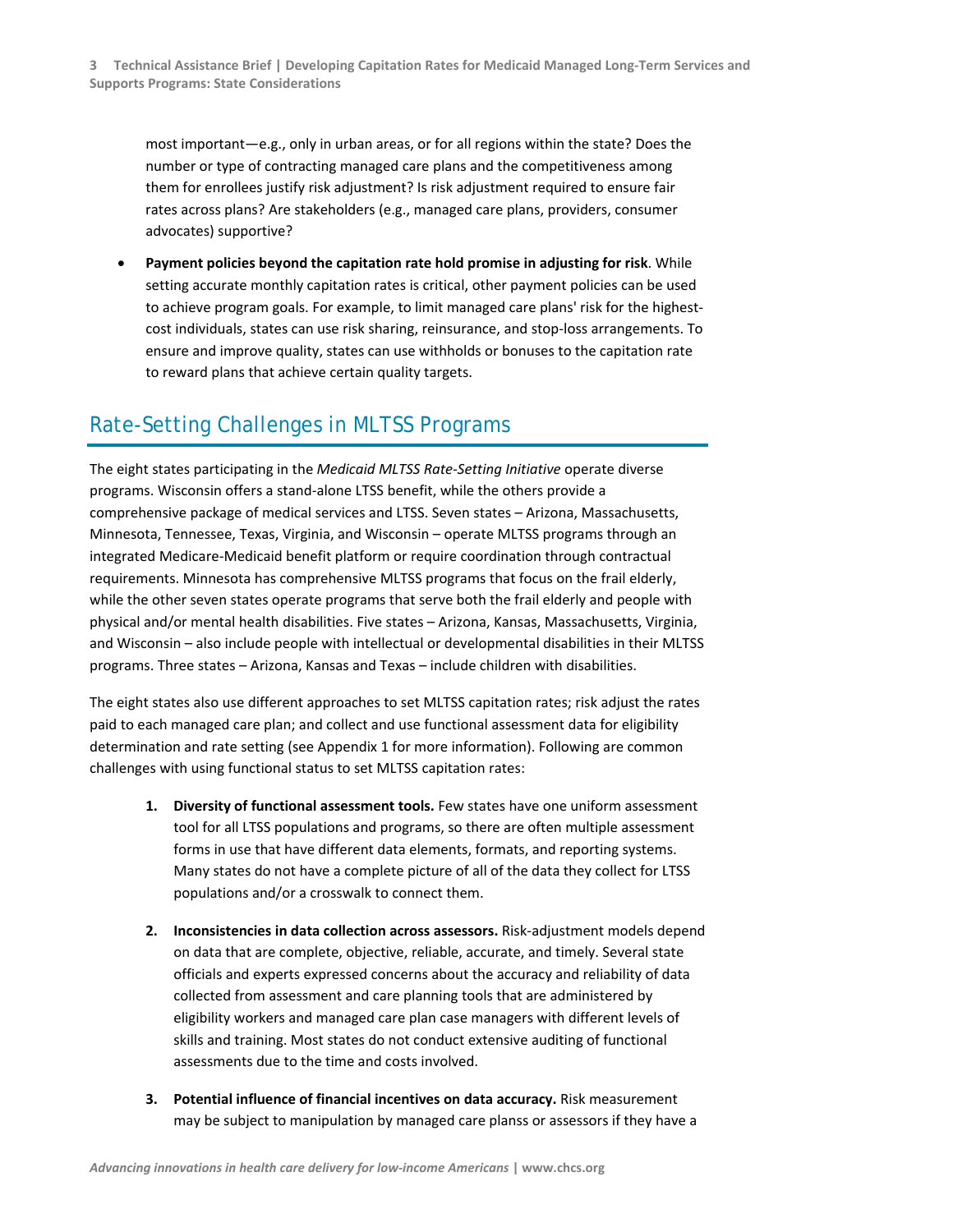most important—e.g., only in urban areas, or for all regions within the state? Does the number or type of contracting managed care plans and the competitiveness among them for enrollees justify risk adjustment? Is risk adjustment required to ensure fair rates across plans? Are stakeholders (e.g., managed care plans, providers, consumer advocates) supportive?

 **Payment policies beyond the capitation rate hold promise in adjusting for risk**. While setting accurate monthly capitation rates is critical, other payment policies can be used to achieve program goals. For example, to limit managed care plans' risk for the highestcost individuals, states can use risk sharing, reinsurance, and stop‐loss arrangements. To ensure and improve quality, states can use withholds or bonuses to the capitation rate to reward plans that achieve certain quality targets.

## Rate-Setting Challenges in MLTSS Programs

The eight states participating in the *Medicaid MLTSS Rate‐Setting Initiative* operate diverse programs. Wisconsin offers a stand‐alone LTSS benefit, while the others provide a comprehensive package of medical services and LTSS. Seven states – Arizona, Massachusetts, Minnesota, Tennessee, Texas, Virginia, and Wisconsin – operate MLTSS programs through an integrated Medicare‐Medicaid benefit platform or require coordination through contractual requirements. Minnesota has comprehensive MLTSS programs that focus on the frail elderly, while the other seven states operate programs that serve both the frail elderly and people with physical and/or mental health disabilities. Five states – Arizona, Kansas, Massachusetts, Virginia, and Wisconsin – also include people with intellectual or developmental disabilities in their MLTSS programs. Three states – Arizona, Kansas and Texas – include children with disabilities.

The eight states also use different approaches to set MLTSS capitation rates; risk adjust the rates paid to each managed care plan; and collect and use functional assessment data for eligibility determination and rate setting (see Appendix 1 for more information). Following are common challenges with using functional status to set MLTSS capitation rates:

- **1. Diversity of functional assessment tools.** Few states have one uniform assessment tool for all LTSS populations and programs, so there are often multiple assessment forms in use that have different data elements, formats, and reporting systems. Many states do not have a complete picture of all of the data they collect for LTSS populations and/or a crosswalk to connect them.
- **2. Inconsistencies in data collection across assessors.** Risk‐adjustment models depend on data that are complete, objective, reliable, accurate, and timely. Several state officials and experts expressed concerns about the accuracy and reliability of data collected from assessment and care planning tools that are administered by eligibility workers and managed care plan case managers with different levels of skills and training. Most states do not conduct extensive auditing of functional assessments due to the time and costs involved.
- **3. Potential influence of financial incentives on data accuracy.** Risk measurement may be subject to manipulation by managed care planss or assessors if they have a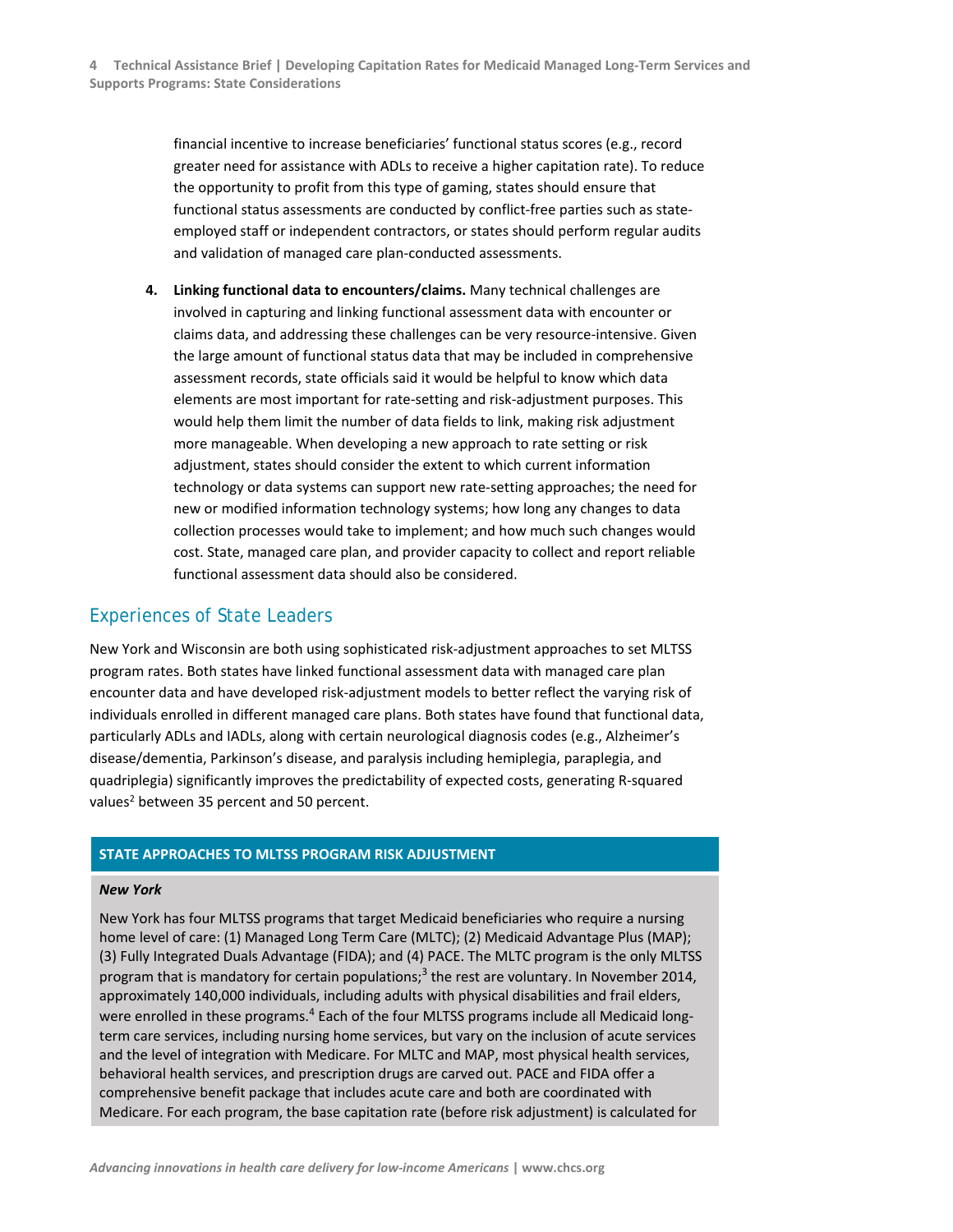financial incentive to increase beneficiaries' functional status scores (e.g., record greater need for assistance with ADLs to receive a higher capitation rate). To reduce the opportunity to profit from this type of gaming, states should ensure that functional status assessments are conducted by conflict-free parties such as stateemployed staff or independent contractors, or states should perform regular audits and validation of managed care plan‐conducted assessments.

**4. Linking functional data to encounters/claims.** Many technical challenges are involved in capturing and linking functional assessment data with encounter or claims data, and addressing these challenges can be very resource‐intensive. Given the large amount of functional status data that may be included in comprehensive assessment records, state officials said it would be helpful to know which data elements are most important for rate‐setting and risk‐adjustment purposes. This would help them limit the number of data fields to link, making risk adjustment more manageable. When developing a new approach to rate setting or risk adjustment, states should consider the extent to which current information technology or data systems can support new rate‐setting approaches; the need for new or modified information technology systems; how long any changes to data collection processes would take to implement; and how much such changes would cost. State, managed care plan, and provider capacity to collect and report reliable functional assessment data should also be considered.

#### Experiences of State Leaders

New York and Wisconsin are both using sophisticated risk‐adjustment approaches to set MLTSS program rates. Both states have linked functional assessment data with managed care plan encounter data and have developed risk‐adjustment models to better reflect the varying risk of individuals enrolled in different managed care plans. Both states have found that functional data, particularly ADLs and IADLs, along with certain neurological diagnosis codes (e.g., Alzheimer's disease/dementia, Parkinson's disease, and paralysis including hemiplegia, paraplegia, and quadriplegia) significantly improves the predictability of expected costs, generating R‐squared values<sup>2</sup> between 35 percent and 50 percent.

#### **STATE APPROACHES TO MLTSS PROGRAM RISK ADJUSTMENT**

#### *New York*

New York has four MLTSS programs that target Medicaid beneficiaries who require a nursing home level of care: (1) Managed Long Term Care (MLTC); (2) Medicaid Advantage Plus (MAP); (3) Fully Integrated Duals Advantage (FIDA); and (4) PACE. The MLTC program is the only MLTSS program that is mandatory for certain populations;<sup>3</sup> the rest are voluntary. In November 2014, approximately 140,000 individuals, including adults with physical disabilities and frail elders, were enrolled in these programs.<sup>4</sup> Each of the four MLTSS programs include all Medicaid longterm care services, including nursing home services, but vary on the inclusion of acute services and the level of integration with Medicare. For MLTC and MAP, most physical health services, behavioral health services, and prescription drugs are carved out. PACE and FIDA offer a comprehensive benefit package that includes acute care and both are coordinated with Medicare. For each program, the base capitation rate (before risk adjustment) is calculated for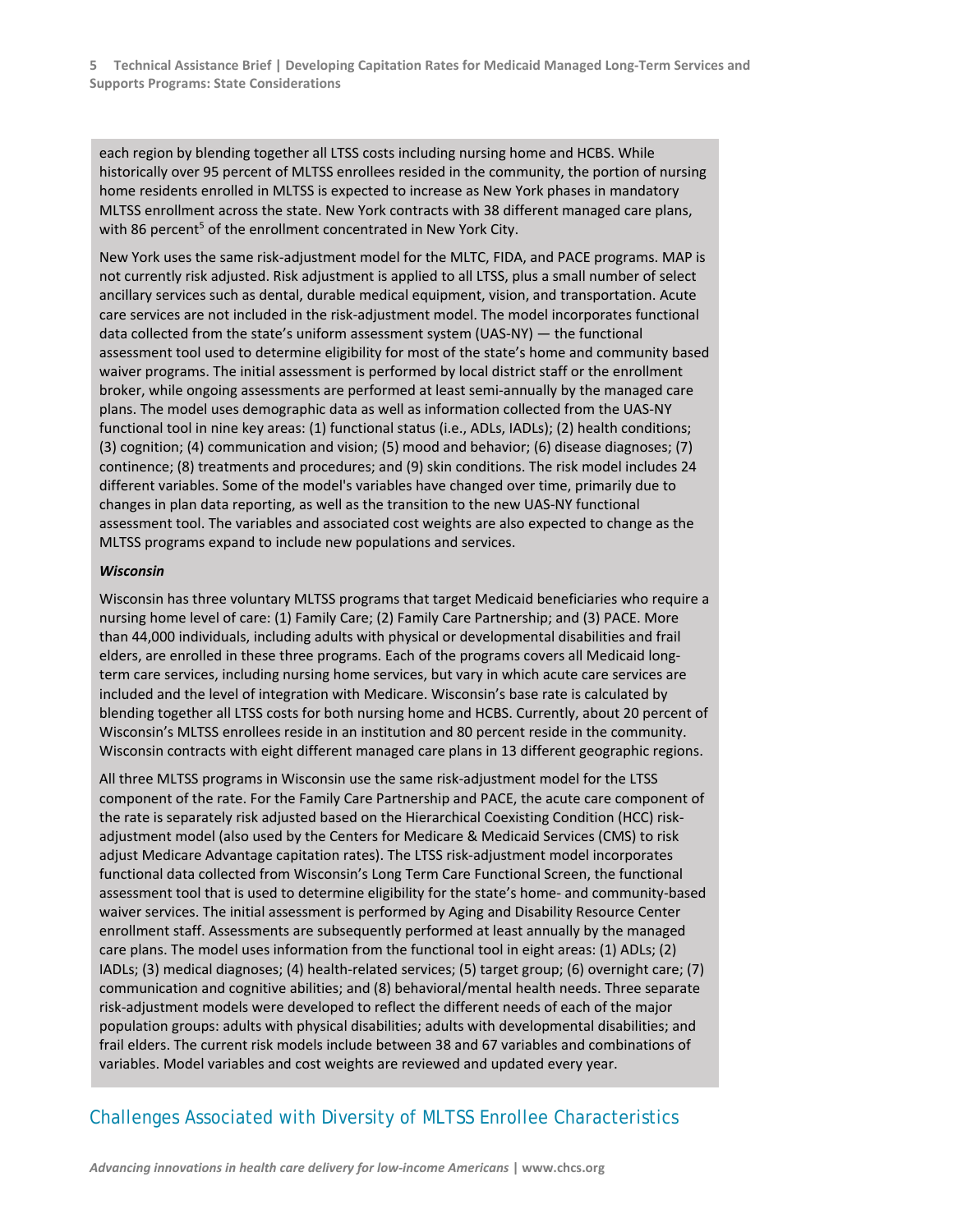each region by blending together all LTSS costs including nursing home and HCBS. While historically over 95 percent of MLTSS enrollees resided in the community, the portion of nursing home residents enrolled in MLTSS is expected to increase as New York phases in mandatory MLTSS enrollment across the state. New York contracts with 38 different managed care plans, with 86 percent<sup>5</sup> of the enrollment concentrated in New York City.

New York uses the same risk‐adjustment model for the MLTC, FIDA, and PACE programs. MAP is not currently risk adjusted. Risk adjustment is applied to all LTSS, plus a small number of select ancillary services such as dental, durable medical equipment, vision, and transportation. Acute care services are not included in the risk‐adjustment model. The model incorporates functional data collected from the state's uniform assessment system (UAS‐NY) — the functional assessment tool used to determine eligibility for most of the state's home and community based waiver programs. The initial assessment is performed by local district staff or the enrollment broker, while ongoing assessments are performed at least semi‐annually by the managed care plans. The model uses demographic data as well as information collected from the UAS‐NY functional tool in nine key areas: (1) functional status (i.e., ADLs, IADLs); (2) health conditions; (3) cognition; (4) communication and vision; (5) mood and behavior; (6) disease diagnoses; (7) continence; (8) treatments and procedures; and (9) skin conditions. The risk model includes 24 different variables. Some of the model's variables have changed over time, primarily due to changes in plan data reporting, as well as the transition to the new UAS‐NY functional assessment tool. The variables and associated cost weights are also expected to change as the MLTSS programs expand to include new populations and services.

#### *Wisconsin*

Wisconsin has three voluntary MLTSS programs that target Medicaid beneficiaries who require a nursing home level of care: (1) Family Care; (2) Family Care Partnership; and (3) PACE. More than 44,000 individuals, including adults with physical or developmental disabilities and frail elders, are enrolled in these three programs. Each of the programs covers all Medicaid long‐ term care services, including nursing home services, but vary in which acute care services are included and the level of integration with Medicare. Wisconsin's base rate is calculated by blending together all LTSS costs for both nursing home and HCBS. Currently, about 20 percent of Wisconsin's MLTSS enrollees reside in an institution and 80 percent reside in the community. Wisconsin contracts with eight different managed care plans in 13 different geographic regions.

All three MLTSS programs in Wisconsin use the same risk‐adjustment model for the LTSS component of the rate. For the Family Care Partnership and PACE, the acute care component of the rate is separately risk adjusted based on the Hierarchical Coexisting Condition (HCC) risk‐ adjustment model (also used by the Centers for Medicare & Medicaid Services (CMS) to risk adjust Medicare Advantage capitation rates). The LTSS risk‐adjustment model incorporates functional data collected from Wisconsin's Long Term Care Functional Screen, the functional assessment tool that is used to determine eligibility for the state's home- and community-based waiver services. The initial assessment is performed by Aging and Disability Resource Center enrollment staff. Assessments are subsequently performed at least annually by the managed care plans. The model uses information from the functional tool in eight areas: (1) ADLs; (2) IADLs; (3) medical diagnoses; (4) health‐related services; (5) target group; (6) overnight care; (7) communication and cognitive abilities; and (8) behavioral/mental health needs. Three separate risk‐adjustment models were developed to reflect the different needs of each of the major population groups: adults with physical disabilities; adults with developmental disabilities; and frail elders. The current risk models include between 38 and 67 variables and combinations of variables. Model variables and cost weights are reviewed and updated every year.

### Challenges Associated with Diversity of MLTSS Enrollee Characteristics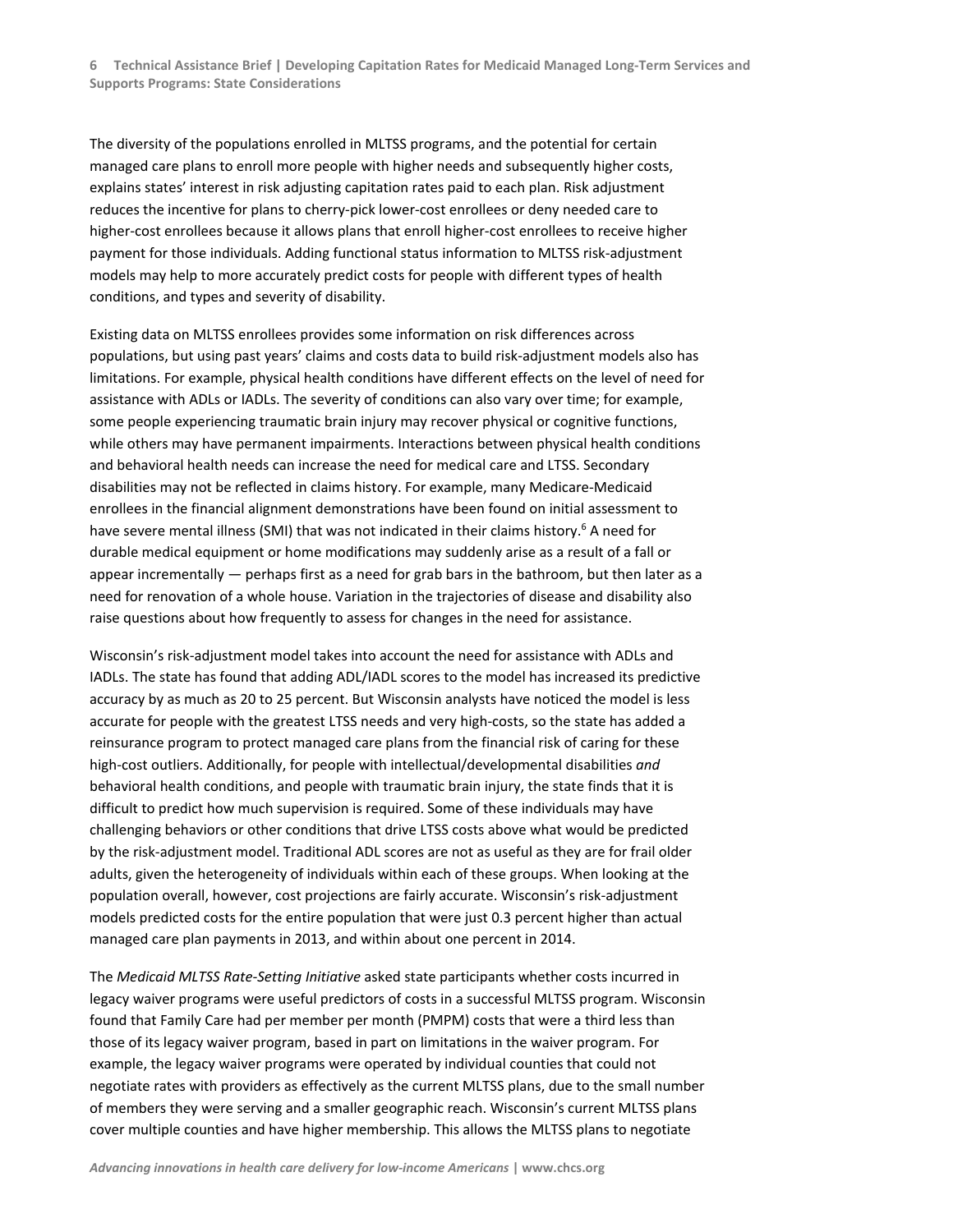The diversity of the populations enrolled in MLTSS programs, and the potential for certain managed care plans to enroll more people with higher needs and subsequently higher costs, explains states' interest in risk adjusting capitation rates paid to each plan. Risk adjustment reduces the incentive for plans to cherry‐pick lower‐cost enrollees or deny needed care to higher‐cost enrollees because it allows plans that enroll higher‐cost enrollees to receive higher payment for those individuals. Adding functional status information to MLTSS risk‐adjustment models may help to more accurately predict costs for people with different types of health conditions, and types and severity of disability.

Existing data on MLTSS enrollees provides some information on risk differences across populations, but using past years' claims and costs data to build risk‐adjustment models also has limitations. For example, physical health conditions have different effects on the level of need for assistance with ADLs or IADLs. The severity of conditions can also vary over time; for example, some people experiencing traumatic brain injury may recover physical or cognitive functions, while others may have permanent impairments. Interactions between physical health conditions and behavioral health needs can increase the need for medical care and LTSS. Secondary disabilities may not be reflected in claims history. For example, many Medicare‐Medicaid enrollees in the financial alignment demonstrations have been found on initial assessment to have severe mental illness (SMI) that was not indicated in their claims history.<sup>6</sup> A need for durable medical equipment or home modifications may suddenly arise as a result of a fall or appear incrementally — perhaps first as a need for grab bars in the bathroom, but then later as a need for renovation of a whole house. Variation in the trajectories of disease and disability also raise questions about how frequently to assess for changes in the need for assistance.

Wisconsin's risk‐adjustment model takes into account the need for assistance with ADLs and IADLs. The state has found that adding ADL/IADL scores to the model has increased its predictive accuracy by as much as 20 to 25 percent. But Wisconsin analysts have noticed the model is less accurate for people with the greatest LTSS needs and very high‐costs, so the state has added a reinsurance program to protect managed care plans from the financial risk of caring for these high-cost outliers. Additionally, for people with intellectual/developmental disabilities and behavioral health conditions, and people with traumatic brain injury, the state finds that it is difficult to predict how much supervision is required. Some of these individuals may have challenging behaviors or other conditions that drive LTSS costs above what would be predicted by the risk‐adjustment model. Traditional ADL scores are not as useful as they are for frail older adults, given the heterogeneity of individuals within each of these groups. When looking at the population overall, however, cost projections are fairly accurate. Wisconsin's risk‐adjustment models predicted costs for the entire population that were just 0.3 percent higher than actual managed care plan payments in 2013, and within about one percent in 2014.

The *Medicaid MLTSS Rate‐Setting Initiative* asked state participants whether costs incurred in legacy waiver programs were useful predictors of costs in a successful MLTSS program. Wisconsin found that Family Care had per member per month (PMPM) costs that were a third less than those of its legacy waiver program, based in part on limitations in the waiver program. For example, the legacy waiver programs were operated by individual counties that could not negotiate rates with providers as effectively as the current MLTSS plans, due to the small number of members they were serving and a smaller geographic reach. Wisconsin's current MLTSS plans cover multiple counties and have higher membership. This allows the MLTSS plans to negotiate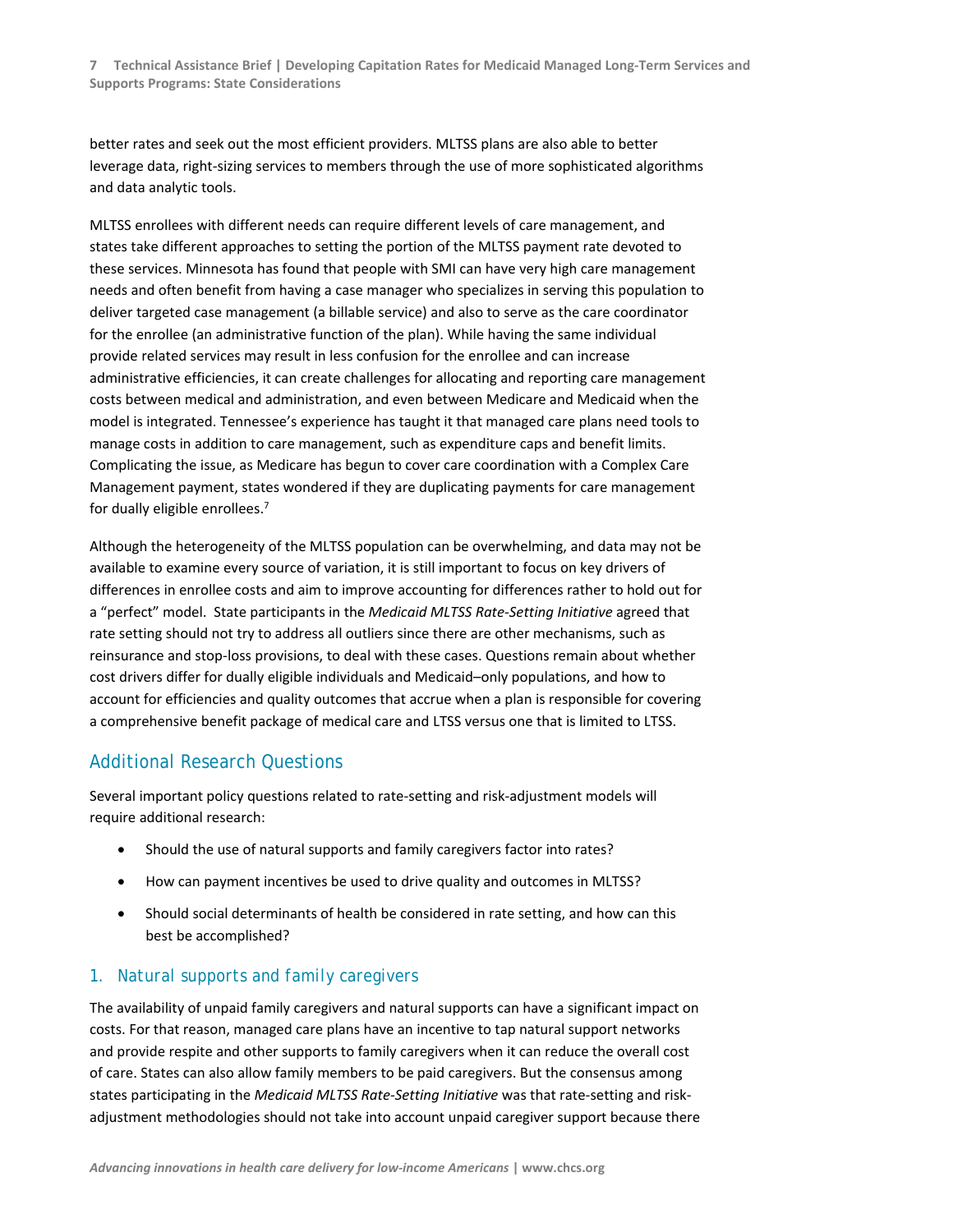better rates and seek out the most efficient providers. MLTSS plans are also able to better leverage data, right‐sizing services to members through the use of more sophisticated algorithms and data analytic tools.

MLTSS enrollees with different needs can require different levels of care management, and states take different approaches to setting the portion of the MLTSS payment rate devoted to these services. Minnesota has found that people with SMI can have very high care management needs and often benefit from having a case manager who specializes in serving this population to deliver targeted case management (a billable service) and also to serve as the care coordinator for the enrollee (an administrative function of the plan). While having the same individual provide related services may result in less confusion for the enrollee and can increase administrative efficiencies, it can create challenges for allocating and reporting care management costs between medical and administration, and even between Medicare and Medicaid when the model is integrated. Tennessee's experience has taught it that managed care plans need tools to manage costs in addition to care management, such as expenditure caps and benefit limits. Complicating the issue, as Medicare has begun to cover care coordination with a Complex Care Management payment, states wondered if they are duplicating payments for care management for dually eligible enrollees.<sup>7</sup>

Although the heterogeneity of the MLTSS population can be overwhelming, and data may not be available to examine every source of variation, it is still important to focus on key drivers of differences in enrollee costs and aim to improve accounting for differences rather to hold out for a "perfect" model. State participants in the *Medicaid MLTSS Rate‐Setting Initiative* agreed that rate setting should not try to address all outliers since there are other mechanisms, such as reinsurance and stop‐loss provisions, to deal with these cases. Questions remain about whether cost drivers differ for dually eligible individuals and Medicaid–only populations, and how to account for efficiencies and quality outcomes that accrue when a plan is responsible for covering a comprehensive benefit package of medical care and LTSS versus one that is limited to LTSS.

#### Additional Research Questions

Several important policy questions related to rate‐setting and risk‐adjustment models will require additional research:

- Should the use of natural supports and family caregivers factor into rates?
- How can payment incentives be used to drive quality and outcomes in MLTSS?
- Should social determinants of health be considered in rate setting, and how can this best be accomplished?

#### *1. Natural supports and family caregivers*

The availability of unpaid family caregivers and natural supports can have a significant impact on costs. For that reason, managed care plans have an incentive to tap natural support networks and provide respite and other supports to family caregivers when it can reduce the overall cost of care. States can also allow family members to be paid caregivers. But the consensus among states participating in the *Medicaid MLTSS Rate‐Setting Initiative* was that rate‐setting and risk‐ adjustment methodologies should not take into account unpaid caregiver support because there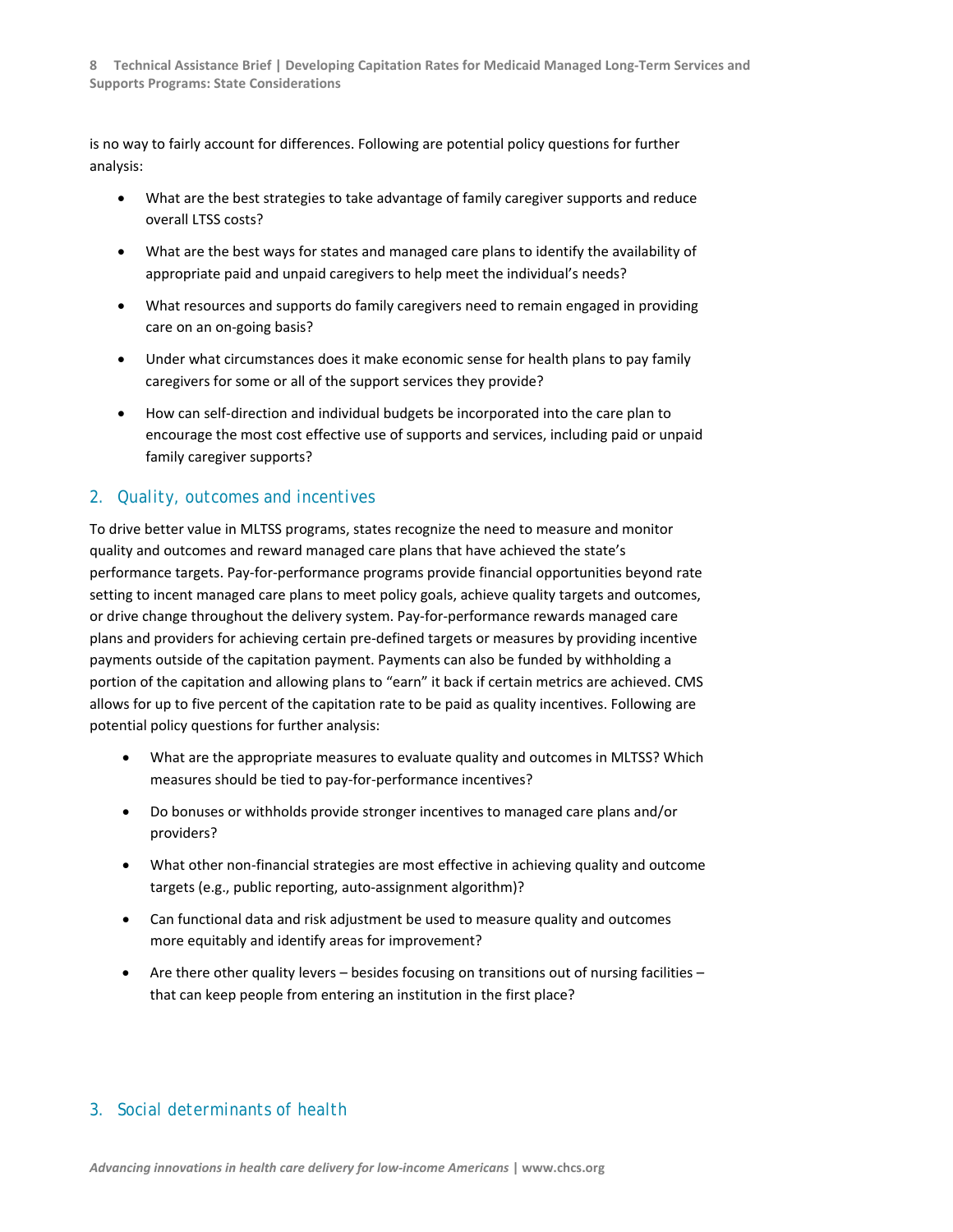is no way to fairly account for differences. Following are potential policy questions for further analysis:

- What are the best strategies to take advantage of family caregiver supports and reduce overall LTSS costs?
- What are the best ways for states and managed care plans to identify the availability of appropriate paid and unpaid caregivers to help meet the individual's needs?
- What resources and supports do family caregivers need to remain engaged in providing care on an on‐going basis?
- Under what circumstances does it make economic sense for health plans to pay family caregivers for some or all of the support services they provide?
- How can self-direction and individual budgets be incorporated into the care plan to encourage the most cost effective use of supports and services, including paid or unpaid family caregiver supports?

#### *2. Quality, outcomes and incentives*

To drive better value in MLTSS programs, states recognize the need to measure and monitor quality and outcomes and reward managed care plans that have achieved the state's performance targets. Pay‐for‐performance programs provide financial opportunities beyond rate setting to incent managed care plans to meet policy goals, achieve quality targets and outcomes, or drive change throughout the delivery system. Pay‐for‐performance rewards managed care plans and providers for achieving certain pre‐defined targets or measures by providing incentive payments outside of the capitation payment. Payments can also be funded by withholding a portion of the capitation and allowing plans to "earn" it back if certain metrics are achieved. CMS allows for up to five percent of the capitation rate to be paid as quality incentives. Following are potential policy questions for further analysis:

- What are the appropriate measures to evaluate quality and outcomes in MLTSS? Which measures should be tied to pay‐for‐performance incentives?
- Do bonuses or withholds provide stronger incentives to managed care plans and/or providers?
- What other non‐financial strategies are most effective in achieving quality and outcome targets (e.g., public reporting, auto‐assignment algorithm)?
- Can functional data and risk adjustment be used to measure quality and outcomes more equitably and identify areas for improvement?
- Are there other quality levers besides focusing on transitions out of nursing facilities that can keep people from entering an institution in the first place?

#### *3. Social determinants of health*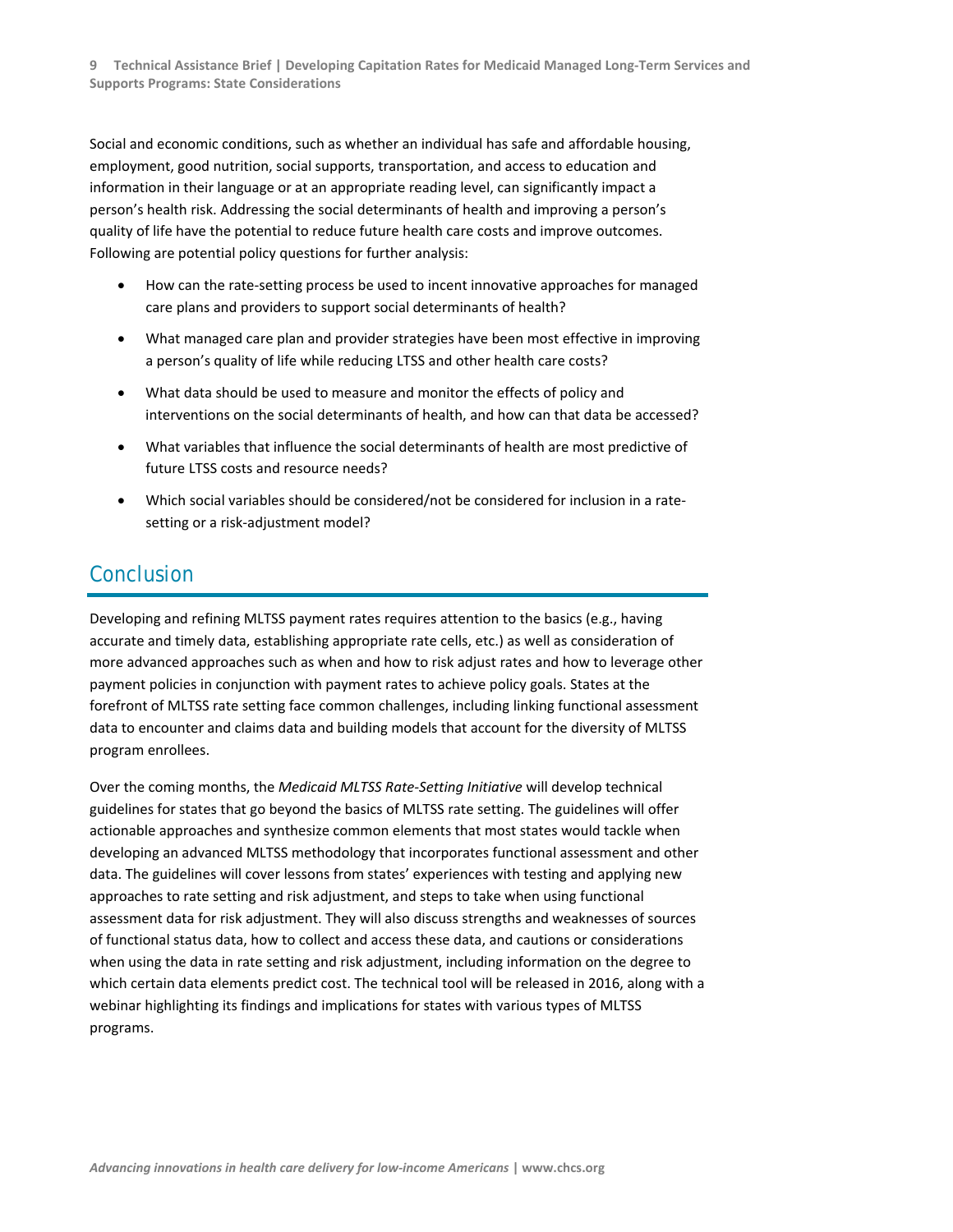Social and economic conditions, such as whether an individual has safe and affordable housing, employment, good nutrition, social supports, transportation, and access to education and information in their language or at an appropriate reading level, can significantly impact a person's health risk. Addressing the social determinants of health and improving a person's quality of life have the potential to reduce future health care costs and improve outcomes. Following are potential policy questions for further analysis:

- How can the rate-setting process be used to incent innovative approaches for managed care plans and providers to support social determinants of health?
- What managed care plan and provider strategies have been most effective in improving a person's quality of life while reducing LTSS and other health care costs?
- What data should be used to measure and monitor the effects of policy and interventions on the social determinants of health, and how can that data be accessed?
- What variables that influence the social determinants of health are most predictive of future LTSS costs and resource needs?
- Which social variables should be considered/not be considered for inclusion in a ratesetting or a risk‐adjustment model?

## Conclusion

Developing and refining MLTSS payment rates requires attention to the basics (e.g., having accurate and timely data, establishing appropriate rate cells, etc.) as well as consideration of more advanced approaches such as when and how to risk adjust rates and how to leverage other payment policies in conjunction with payment rates to achieve policy goals. States at the forefront of MLTSS rate setting face common challenges, including linking functional assessment data to encounter and claims data and building models that account for the diversity of MLTSS program enrollees.

Over the coming months, the *Medicaid MLTSS Rate‐Setting Initiative* will develop technical guidelines for states that go beyond the basics of MLTSS rate setting. The guidelines will offer actionable approaches and synthesize common elements that most states would tackle when developing an advanced MLTSS methodology that incorporates functional assessment and other data. The guidelines will cover lessons from states' experiences with testing and applying new approaches to rate setting and risk adjustment, and steps to take when using functional assessment data for risk adjustment. They will also discuss strengths and weaknesses of sources of functional status data, how to collect and access these data, and cautions or considerations when using the data in rate setting and risk adjustment, including information on the degree to which certain data elements predict cost. The technical tool will be released in 2016, along with a webinar highlighting its findings and implications for states with various types of MLTSS programs.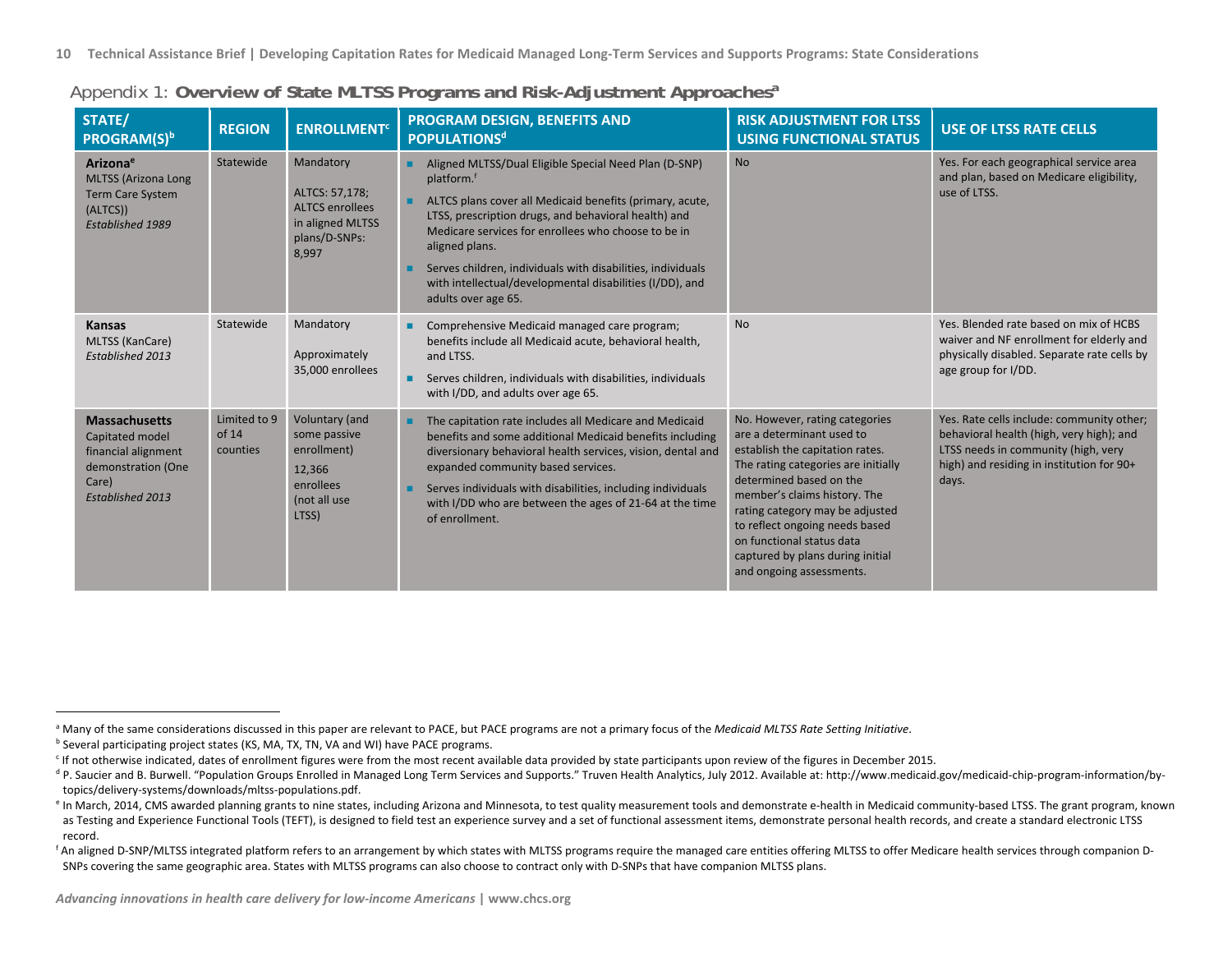| STATE/<br>PROGRAM(S)b                                                                                                    | <b>REGION</b>                     | <b>ENROLLMENT<sup>c</sup></b>                                                                       | PROGRAM DESIGN, BENEFITS AND<br><b>POPULATIONS<sup>d</sup></b>                                                                                                                                                                                                                                                                                                                                                                 | <b>RISK ADJUSTMENT FOR LTSS</b><br><b>USING FUNCTIONAL STATUS</b>                                                                                                                                                                                                                                                                                                  | <b>USE OF LTSS RATE CELLS</b>                                                                                                                                                      |
|--------------------------------------------------------------------------------------------------------------------------|-----------------------------------|-----------------------------------------------------------------------------------------------------|--------------------------------------------------------------------------------------------------------------------------------------------------------------------------------------------------------------------------------------------------------------------------------------------------------------------------------------------------------------------------------------------------------------------------------|--------------------------------------------------------------------------------------------------------------------------------------------------------------------------------------------------------------------------------------------------------------------------------------------------------------------------------------------------------------------|------------------------------------------------------------------------------------------------------------------------------------------------------------------------------------|
| Arizona <sup>e</sup><br><b>MLTSS (Arizona Long</b><br><b>Term Care System</b><br>(ALTCS))<br><b>Established 1989</b>     | Statewide                         | Mandatory<br>ALTCS: 57,178;<br><b>ALTCS enrollees</b><br>in aligned MLTSS<br>plans/D-SNPs:<br>8,997 | Aligned MLTSS/Dual Eligible Special Need Plan (D-SNP)<br>platform. <sup>f</sup><br>ALTCS plans cover all Medicaid benefits (primary, acute,<br>LTSS, prescription drugs, and behavioral health) and<br>Medicare services for enrollees who choose to be in<br>aligned plans.<br>Serves children, individuals with disabilities, individuals<br>with intellectual/developmental disabilities (I/DD), and<br>adults over age 65. | <b>No</b>                                                                                                                                                                                                                                                                                                                                                          | Yes. For each geographical service area<br>and plan, based on Medicare eligibility,<br>use of LTSS.                                                                                |
| <b>Kansas</b><br>MLTSS (KanCare)<br>Established 2013                                                                     | Statewide                         | Mandatory<br>Approximately<br>35,000 enrollees                                                      | Comprehensive Medicaid managed care program;<br>benefits include all Medicaid acute, behavioral health,<br>and LTSS.<br>Serves children, individuals with disabilities, individuals<br>with I/DD, and adults over age 65.                                                                                                                                                                                                      | <b>No</b>                                                                                                                                                                                                                                                                                                                                                          | Yes. Blended rate based on mix of HCBS<br>waiver and NF enrollment for elderly and<br>physically disabled. Separate rate cells by<br>age group for I/DD.                           |
| <b>Massachusetts</b><br>Capitated model<br>financial alignment<br>demonstration (One<br>Care)<br><b>Established 2013</b> | Limited to 9<br>of 14<br>counties | Voluntary (and<br>some passive<br>enrollment)<br>12,366<br>enrollees<br>(not all use<br>LTSS)       | The capitation rate includes all Medicare and Medicaid<br>٠<br>benefits and some additional Medicaid benefits including<br>diversionary behavioral health services, vision, dental and<br>expanded community based services.<br>Serves individuals with disabilities, including individuals<br>▪<br>with I/DD who are between the ages of 21-64 at the time<br>of enrollment.                                                  | No. However, rating categories<br>are a determinant used to<br>establish the capitation rates.<br>The rating categories are initially<br>determined based on the<br>member's claims history. The<br>rating category may be adjusted<br>to reflect ongoing needs based<br>on functional status data<br>captured by plans during initial<br>and ongoing assessments. | Yes. Rate cells include: community other;<br>behavioral health (high, very high); and<br>LTSS needs in community (high, very<br>high) and residing in institution for 90+<br>days. |

#### Appendix 1: **Overview of State MLTSS Programs and Risk-Adjustment Approachesa**

a Many of the same considerations discussed in this paper are relevant to PACE, but PACE programs are not <sup>a</sup> primary focus of the *Medicaid MLTSS Rate Setting Initiative*.

<sup>&</sup>lt;sup>b</sup> Several participating project states (KS, MA, TX, TN, VA and WI) have PACE programs.

 $^{\circ}$  If not otherwise indicated, dates of enrollment figures were from the most recent available data provided by state participants upon review of the figures in December 2015.

d P. Saucier and B. Burwell. "Population Groups Enrolled in Managed Long Term Services and Supports." Truven Health Analytics, July 2012. Available at: http://www.medicaid.gov/medicaid-chip-program-information/bytopics/delivery‐systems/downloads/mltss‐populations.pdf.

e In March, 2014, CMS awarded planning grants to nine states, including Arizona and Minnesota, to test quality measurement tools and demonstrate e‐health in Medicaid community‐based LTSS. The grant program, known as Testing and Experience Functional Tools (TEFT), is designed to field test an experience survey and a set of functional assessment items, demonstrate personal health records, and create a standard electronic LTSS record.

f An aligned D-SNP/MLTSS integrated platform refers to an arrangement by which states with MLTSS programs require the managed care entities offering MLTSS to offer Medicare health services through companion D-SNPs covering the same geographic area. States with MLTSS programs can also choose to contract only with D‐SNPs that have companion MLTSS plans.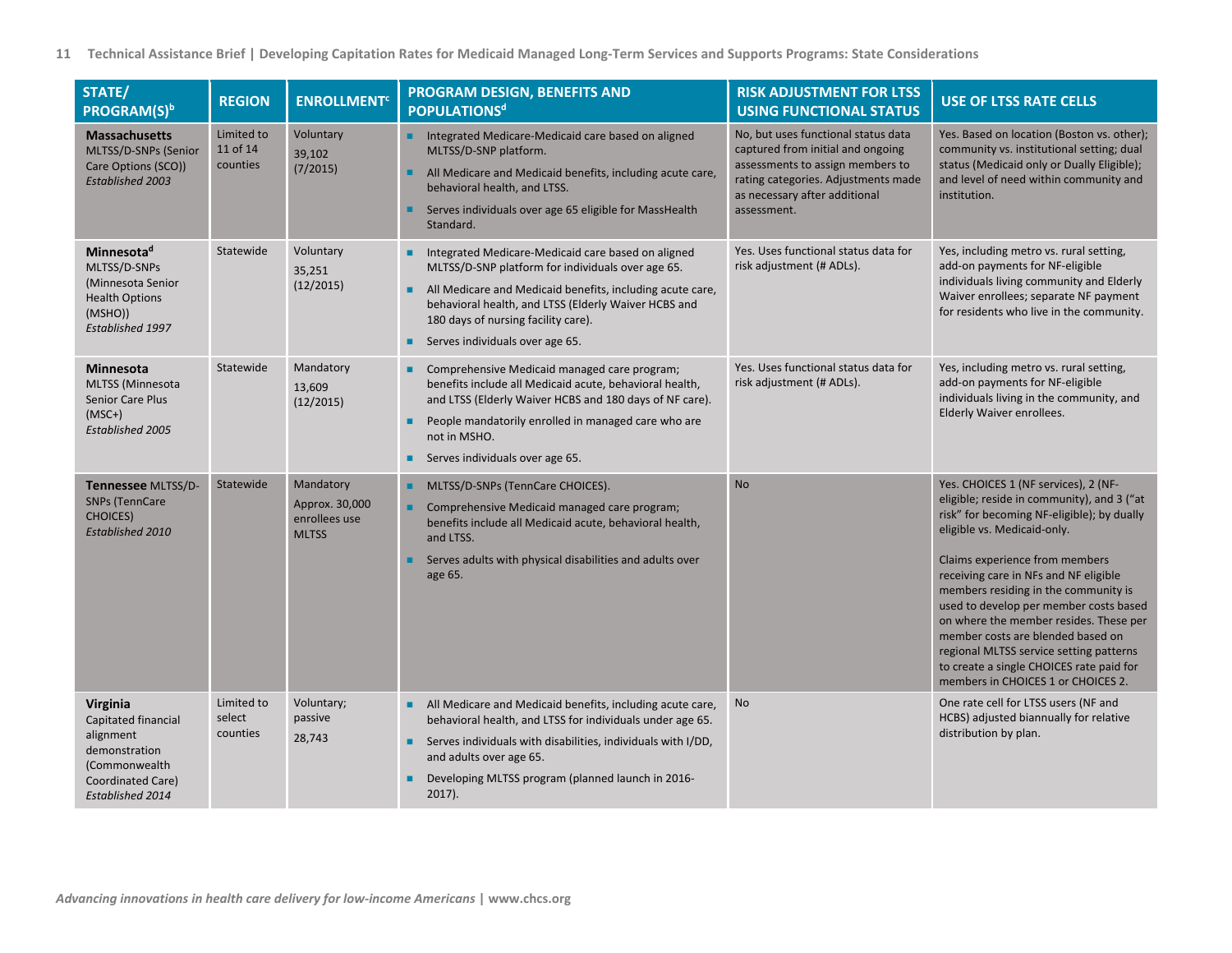| STATE/<br><b>PROGRAM(S)</b> b                                                                                           | <b>REGION</b>                      | <b>ENROLLMENT<sup>c</sup></b>                                | PROGRAM DESIGN, BENEFITS AND<br><b>POPULATIONS<sup>d</sup></b>                                                                                                                                                                                                                                                        | <b>RISK ADJUSTMENT FOR LTSS</b><br><b>USING FUNCTIONAL STATUS</b>                                                                                                                                   | <b>USE OF LTSS RATE CELLS</b>                                                                                                                                                                                                                                                                                                                                                                                                                                                                                                            |
|-------------------------------------------------------------------------------------------------------------------------|------------------------------------|--------------------------------------------------------------|-----------------------------------------------------------------------------------------------------------------------------------------------------------------------------------------------------------------------------------------------------------------------------------------------------------------------|-----------------------------------------------------------------------------------------------------------------------------------------------------------------------------------------------------|------------------------------------------------------------------------------------------------------------------------------------------------------------------------------------------------------------------------------------------------------------------------------------------------------------------------------------------------------------------------------------------------------------------------------------------------------------------------------------------------------------------------------------------|
| <b>Massachusetts</b><br>MLTSS/D-SNPs (Senior<br>Care Options (SCO))<br><b>Established 2003</b>                          | Limited to<br>11 of 14<br>counties | Voluntary<br>39,102<br>(7/2015)                              | Integrated Medicare-Medicaid care based on aligned<br>MLTSS/D-SNP platform.<br>All Medicare and Medicaid benefits, including acute care,<br>٠<br>behavioral health, and LTSS.<br>Serves individuals over age 65 eligible for MassHealth<br>٠<br>Standard.                                                             | No, but uses functional status data<br>captured from initial and ongoing<br>assessments to assign members to<br>rating categories. Adjustments made<br>as necessary after additional<br>assessment. | Yes. Based on location (Boston vs. other);<br>community vs. institutional setting; dual<br>status (Medicaid only or Dually Eligible);<br>and level of need within community and<br>institution.                                                                                                                                                                                                                                                                                                                                          |
| Minnesota <sup>d</sup><br>MLTSS/D-SNPs<br>(Minnesota Senior<br><b>Health Options</b><br>(MSHO))<br>Established 1997     | Statewide                          | Voluntary<br>35,251<br>(12/2015)                             | Integrated Medicare-Medicaid care based on aligned<br>٠<br>MLTSS/D-SNP platform for individuals over age 65.<br>All Medicare and Medicaid benefits, including acute care,<br>٠<br>behavioral health, and LTSS (Elderly Waiver HCBS and<br>180 days of nursing facility care).<br>Serves individuals over age 65.<br>٠ | Yes. Uses functional status data for<br>risk adjustment (# ADLs).                                                                                                                                   | Yes, including metro vs. rural setting,<br>add-on payments for NF-eligible<br>individuals living community and Elderly<br>Waiver enrollees; separate NF payment<br>for residents who live in the community.                                                                                                                                                                                                                                                                                                                              |
| <b>Minnesota</b><br><b>MLTSS (Minnesota</b><br>Senior Care Plus<br>$(MSC+)$<br>Established 2005                         | Statewide                          | Mandatory<br>13,609<br>(12/2015)                             | Comprehensive Medicaid managed care program;<br>benefits include all Medicaid acute, behavioral health,<br>and LTSS (Elderly Waiver HCBS and 180 days of NF care).<br>People mandatorily enrolled in managed care who are<br>٠<br>not in MSHO.<br>Serves individuals over age 65.                                     | Yes. Uses functional status data for<br>risk adjustment (# ADLs).                                                                                                                                   | Yes, including metro vs. rural setting,<br>add-on payments for NF-eligible<br>individuals living in the community, and<br>Elderly Waiver enrollees.                                                                                                                                                                                                                                                                                                                                                                                      |
| Tennessee MLTSS/D-<br><b>SNPs (TennCare</b><br><b>CHOICES)</b><br>Established 2010                                      | Statewide                          | Mandatory<br>Approx. 30,000<br>enrollees use<br><b>MLTSS</b> | MLTSS/D-SNPs (TennCare CHOICES).<br>٠<br>Comprehensive Medicaid managed care program;<br>benefits include all Medicaid acute, behavioral health,<br>and LTSS.<br>Serves adults with physical disabilities and adults over<br>age 65.                                                                                  | <b>No</b>                                                                                                                                                                                           | Yes. CHOICES 1 (NF services), 2 (NF-<br>eligible; reside in community), and 3 ("at<br>risk" for becoming NF-eligible); by dually<br>eligible vs. Medicaid-only.<br>Claims experience from members<br>receiving care in NFs and NF eligible<br>members residing in the community is<br>used to develop per member costs based<br>on where the member resides. These per<br>member costs are blended based on<br>regional MLTSS service setting patterns<br>to create a single CHOICES rate paid for<br>members in CHOICES 1 or CHOICES 2. |
| Virginia<br>Capitated financial<br>alignment<br>demonstration<br>(Commonwealth<br>Coordinated Care)<br>Established 2014 | Limited to<br>select<br>counties   | Voluntary;<br>passive<br>28,743                              | All Medicare and Medicaid benefits, including acute care,<br>٠<br>behavioral health, and LTSS for individuals under age 65.<br>Serves individuals with disabilities, individuals with I/DD,<br>٠<br>and adults over age 65.<br>Developing MLTSS program (planned launch in 2016-<br>$2017$ ).                         | <b>No</b>                                                                                                                                                                                           | One rate cell for LTSS users (NF and<br>HCBS) adjusted biannually for relative<br>distribution by plan.                                                                                                                                                                                                                                                                                                                                                                                                                                  |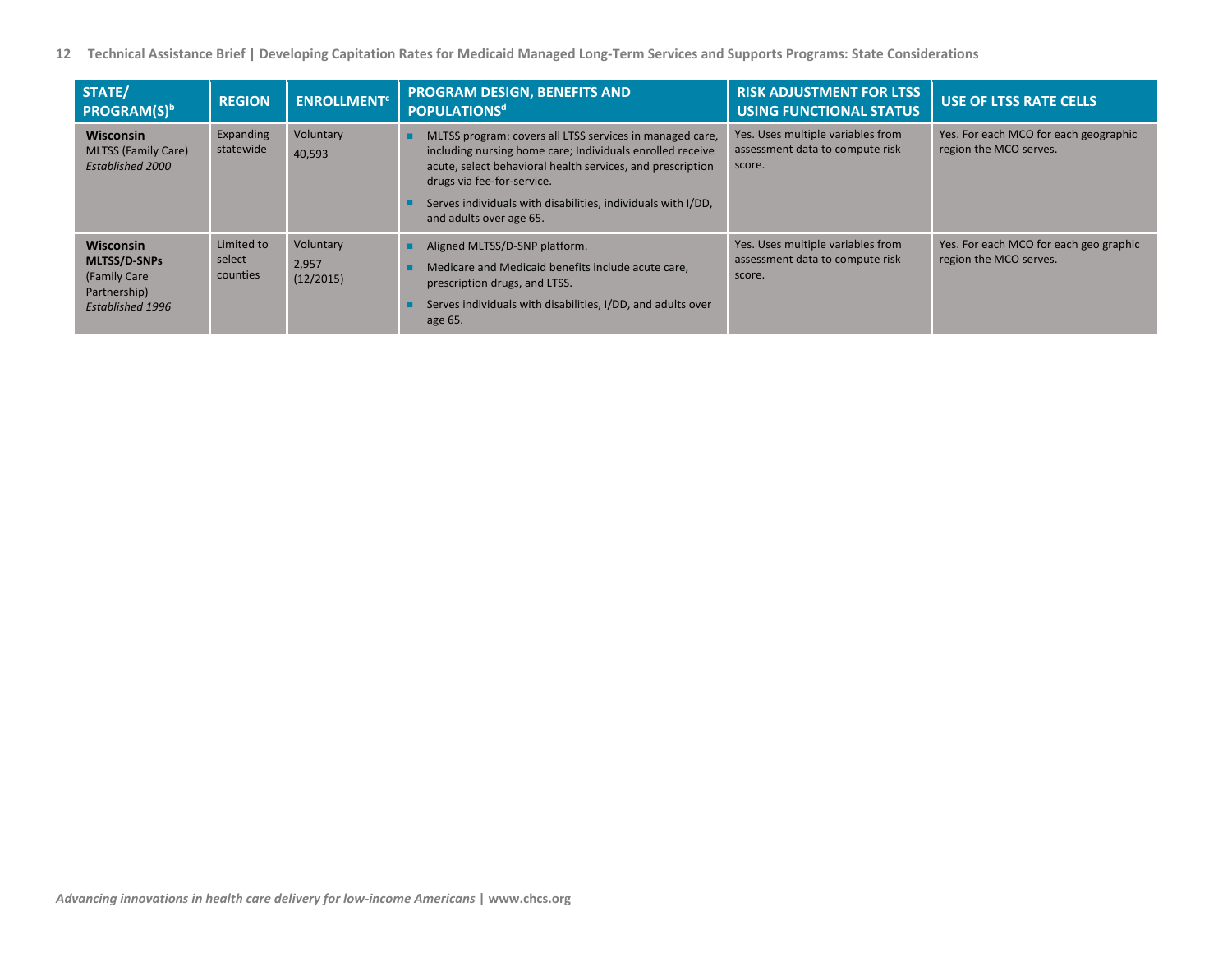| STATE/<br><b>PROGRAM(S)</b> <sup>b</sup>                                                           | <b>REGION</b>                    | <b>ENROLLMENT<sup>C</sup></b>   | <b>PROGRAM DESIGN, BENEFITS AND</b><br><b>POPULATIONS<sup>d</sup></b>                                                                                                                                                                                                                                        | <b>RISK ADJUSTMENT FOR LTSS</b><br><b>USING FUNCTIONAL STATUS</b>              | <b>USE OF LTSS RATE CELLS</b>                                    |
|----------------------------------------------------------------------------------------------------|----------------------------------|---------------------------------|--------------------------------------------------------------------------------------------------------------------------------------------------------------------------------------------------------------------------------------------------------------------------------------------------------------|--------------------------------------------------------------------------------|------------------------------------------------------------------|
| <b>Wisconsin</b><br><b>MLTSS (Family Care)</b><br><b>Established 2000</b>                          | Expanding<br>statewide           | Voluntary<br>40,593             | MLTSS program: covers all LTSS services in managed care,<br>including nursing home care; Individuals enrolled receive<br>acute, select behavioral health services, and prescription<br>drugs via fee-for-service.<br>Serves individuals with disabilities, individuals with I/DD,<br>and adults over age 65. | Yes. Uses multiple variables from<br>assessment data to compute risk<br>score. | Yes. For each MCO for each geographic<br>region the MCO serves.  |
| <b>Wisconsin</b><br><b>MLTSS/D-SNPs</b><br>(Family Care<br>Partnership)<br><b>Established 1996</b> | Limited to<br>select<br>counties | Voluntary<br>2,957<br>(12/2015) | Aligned MLTSS/D-SNP platform.<br>Medicare and Medicaid benefits include acute care,<br>prescription drugs, and LTSS.<br>Serves individuals with disabilities, I/DD, and adults over<br>age 65.                                                                                                               | Yes. Uses multiple variables from<br>assessment data to compute risk<br>score. | Yes. For each MCO for each geo graphic<br>region the MCO serves. |